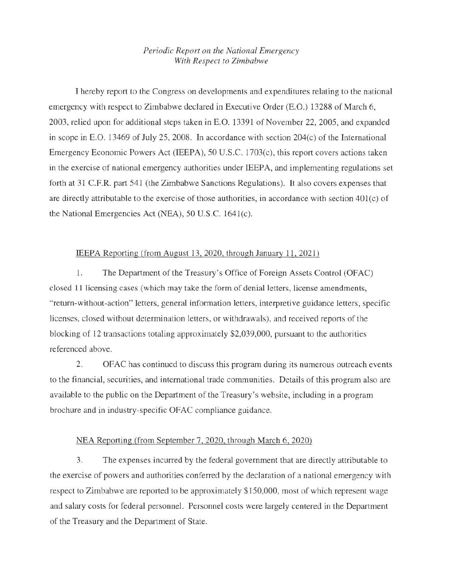## *Periodic Report on the National Emergency With Respect to Zimbabwe*

1 hereby report to the Congress on developments and expenditures relating to the national emergency with respect to Zimbabwe declared in Executive Order (E.O.) 13288 of March 6, 2003, relied upon for additional steps taken in E.O. 13391 of November 22, 2005, and expanded in scope in E.O. 13469 of July 25, 2008. In accordance with section 204(c) of the International Emergency Economic Powers Act (IEEPA), 50 U.S.C. 1703(c), this report covers actions taken in the exercise of national emergency authorities under IEEPA, and implementing regulations set forth at 31 C.F.R. part 541 (the Zimbabwe Sanctions Regulations). It also covers expenses that are directly attributable to the exercise of those authorities, in accordance with section 40l(c) of the National Emergencies Act (NEA), 50 U.S.C. 164l(c).

## IEEPA Reporting (from August 13,2020, through January 11. 2021)

1. The Department of the Treasury's Office of Foreign Assets Control (OFAC) closed 11 licensing cases (which may take the form of denial letters, license amendments, "return-without-action" letters, general information letters, interpretive guidance letters, specific licenses, closed without determination letters, or withdrawals), and received reports of the blocking of 12 transactions totaling approximately \$2,039,000, pursuant to the authorities referenced above.

2. OFAC has continued to discuss this program during its numerous outreach events to the financial, securities, and international trade communities. Details of this program also are available to the public on the Department of the Treasury's website, including in a program brochure and in industry-specific OF AC compliance guidance.

## NEA Reporting (from September 7, 2020, through March 6, 2020)

3. The expenses incurred by the federal government that are directly attributable to the exercise of powers and authorities conferred by the declaration of a national emergency with respect to Zimbabwe are reported to be approximately \$150,000, most of which represent wage and salary costs for federal personnel. Personnel costs were largely centered in the Department of the Treasury and the Department of State.